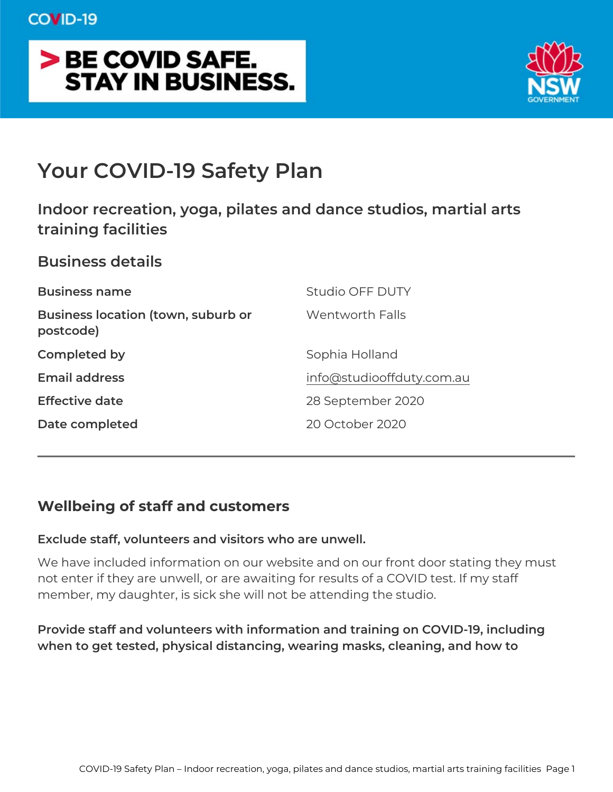# Your COVID-19 Safety Plan

Indoor recreation, yoga, pilates and dance studios, m training facilities

Business details Business name Studio OFF DUTY Business location (town, suburb Woern tworth Falls postcode) Completed by Sophia Holland Email address [info@studiooffduty.](mailto:info@studiooffduty.com.au)com.au Effective date 28 September 2020 Date completed 20 October 2020

Wellbeing of staff and customers

Exclude staff, volunteers and visitors who are unwell.

We have included information on our website and on our front door not enter if they are unwell, or are awaiting for results of a COVID member, my daughter, is sick she will not be attending the studio.

Provide staff and volunteers with information and training on COVI when to get tested, physical distancing, wearing masks, cleaning,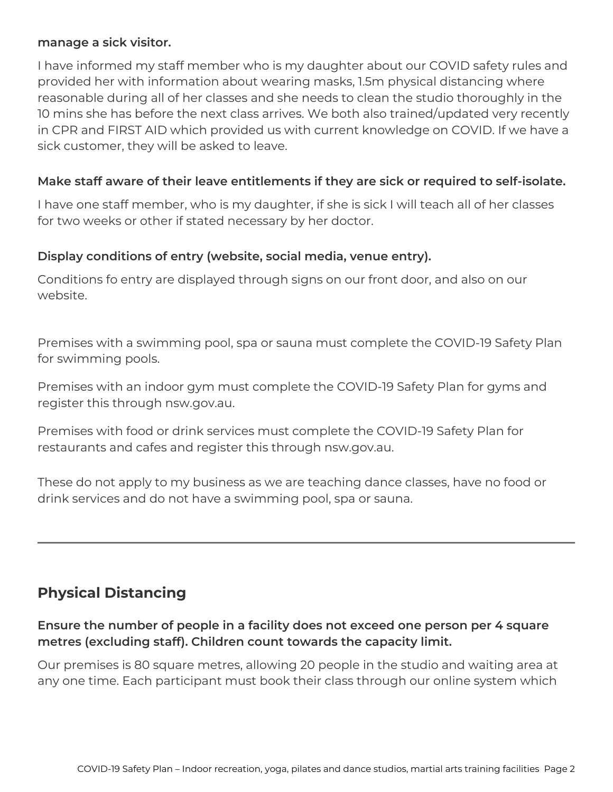#### **manage a sick visitor.**

I have informed my staff member who is my daughter about our COVID safety rules and provided her with information about wearing masks, 1.5m physical distancing where reasonable during all of her classes and she needs to clean the studio thoroughly in the 10 mins she has before the next class arrives. We both also trained/updated very recently in CPR and FIRST AID which provided us with current knowledge on COVID. If we have a sick customer, they will be asked to leave.

#### **Make staff aware of their leave entitlements if they are sick or required to self-isolate.**

I have one staff member, who is my daughter, if she is sick I will teach all of her classes for two weeks or other if stated necessary by her doctor.

#### **Display conditions of entry (website, social media, venue entry).**

Conditions fo entry are displayed through signs on our front door, and also on our website.

Premises with a swimming pool, spa or sauna must complete the COVID-19 Safety Plan for swimming pools.

Premises with an indoor gym must complete the COVID-19 Safety Plan for gyms and register this through nsw.gov.au.

Premises with food or drink services must complete the COVID-19 Safety Plan for restaurants and cafes and register this through nsw.gov.au.

These do not apply to my business as we are teaching dance classes, have no food or drink services and do not have a swimming pool, spa or sauna.

# **Physical Distancing**

#### **Ensure the number of people in a facility does not exceed one person per 4 square metres (excluding staff). Children count towards the capacity limit.**

Our premises is 80 square metres, allowing 20 people in the studio and waiting area at any one time. Each participant must book their class through our online system which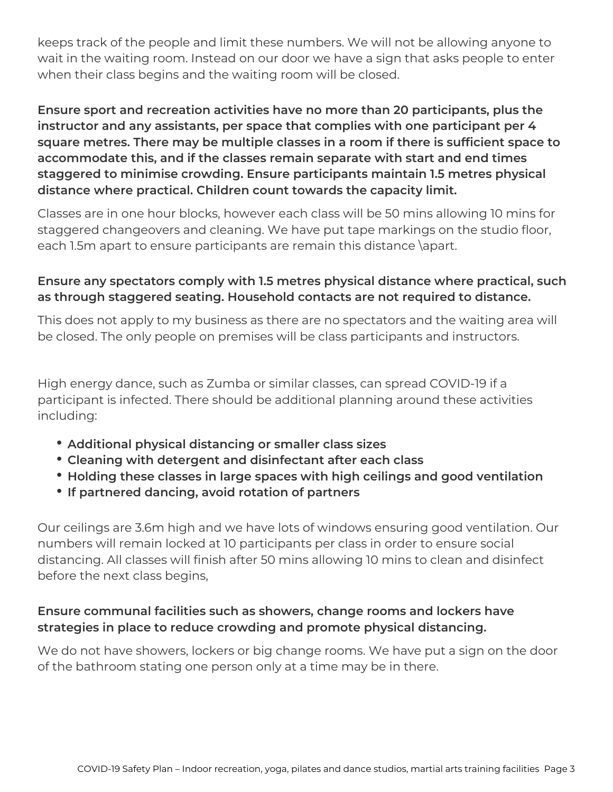keeps track of the people and limit these numbers. We will not be allowing anyone to wait in the waiting room. Instead on our door we have a sign that asks people to enter when their class begins and the waiting room will be closed.

**Ensure sport and recreation activities have no more than 20 participants, plus the instructor and any assistants, per space that complies with one participant per 4 square metres. There may be multiple classes in a room if there is sufficient space to accommodate this, and if the classes remain separate with start and end times staggered to minimise crowding. Ensure participants maintain 1.5 metres physical distance where practical. Children count towards the capacity limit.** 

Classes are in one hour blocks, however each class will be 50 mins allowing 10 mins for staggered changeovers and cleaning. We have put tape markings on the studio floor, each 1.5m apart to ensure participants are remain this distance \apart.

# **Ensure any spectators comply with 1.5 metres physical distance where practical, such as through staggered seating. Household contacts are not required to distance.**

This does not apply to my business as there are no spectators and the waiting area will be closed. The only people on premises will be class participants and instructors.

High energy dance, such as Zumba or similar classes, can spread COVID-19 if a participant is infected. There should be additional planning around these activities including:

- **Additional physical distancing or smaller class sizes**
- **Cleaning with detergent and disinfectant after each class**
- **Holding these classes in large spaces with high ceilings and good ventilation**
- **If partnered dancing, avoid rotation of partners**

Our ceilings are 3.6m high and we have lots of windows ensuring good ventilation. Our numbers will remain locked at 10 participants per class in order to ensure social distancing. All classes will finish after 50 mins allowing 10 mins to clean and disinfect before the next class begins,

# **Ensure communal facilities such as showers, change rooms and lockers have strategies in place to reduce crowding and promote physical distancing.**

We do not have showers, lockers or big change rooms. We have put a sign on the door of the bathroom stating one person only at a time may be in there.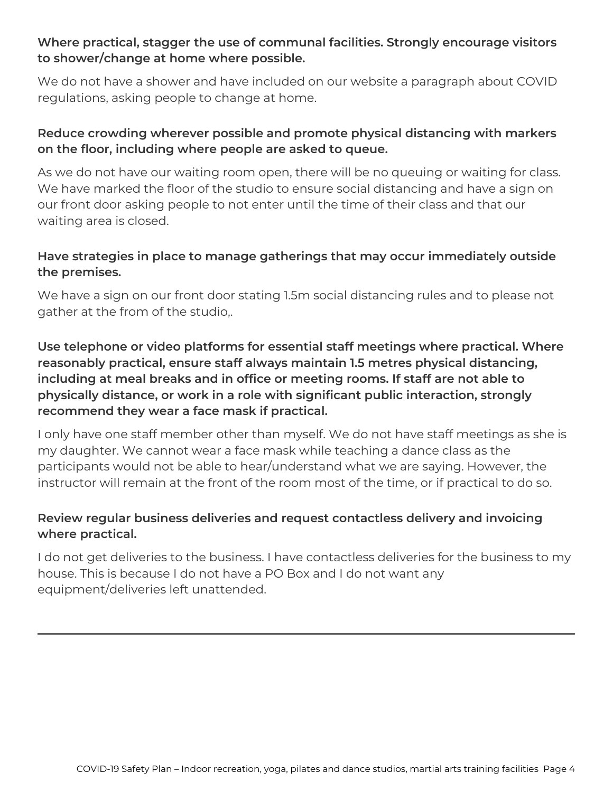# **Where practical, stagger the use of communal facilities. Strongly encourage visitors to shower/change at home where possible.**

We do not have a shower and have included on our website a paragraph about COVID regulations, asking people to change at home.

# **Reduce crowding wherever possible and promote physical distancing with markers on the floor, including where people are asked to queue.**

As we do not have our waiting room open, there will be no queuing or waiting for class. We have marked the floor of the studio to ensure social distancing and have a sign on our front door asking people to not enter until the time of their class and that our waiting area is closed.

# **Have strategies in place to manage gatherings that may occur immediately outside the premises.**

We have a sign on our front door stating 1.5m social distancing rules and to please not gather at the from of the studio,.

**Use telephone or video platforms for essential staff meetings where practical. Where reasonably practical, ensure staff always maintain 1.5 metres physical distancing, including at meal breaks and in office or meeting rooms. If staff are not able to physically distance, or work in a role with significant public interaction, strongly recommend they wear a face mask if practical.** 

I only have one staff member other than myself. We do not have staff meetings as she is my daughter. We cannot wear a face mask while teaching a dance class as the participants would not be able to hear/understand what we are saying. However, the instructor will remain at the front of the room most of the time, or if practical to do so.

# **Review regular business deliveries and request contactless delivery and invoicing where practical.**

I do not get deliveries to the business. I have contactless deliveries for the business to my house. This is because I do not have a PO Box and I do not want any equipment/deliveries left unattended.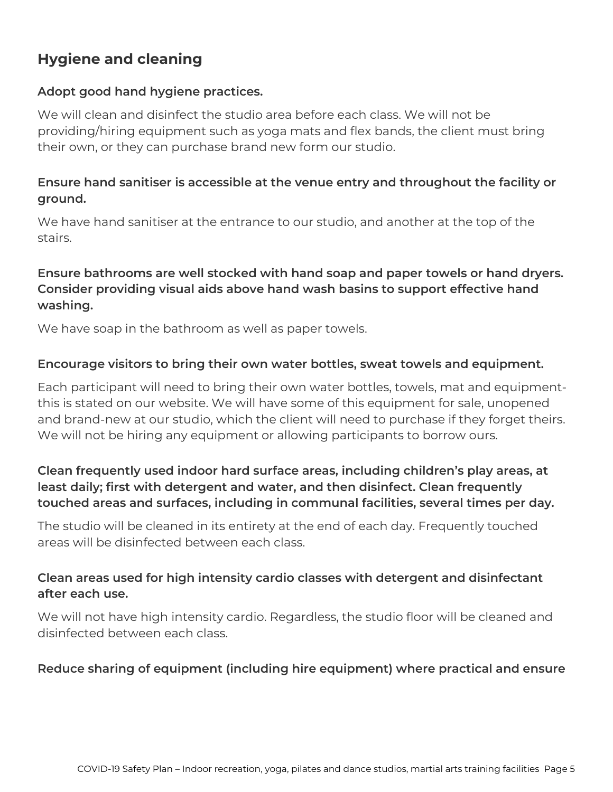# **Hygiene and cleaning**

#### **Adopt good hand hygiene practices.**

We will clean and disinfect the studio area before each class. We will not be providing/hiring equipment such as yoga mats and flex bands, the client must bring their own, or they can purchase brand new form our studio.

# **Ensure hand sanitiser is accessible at the venue entry and throughout the facility or ground.**

We have hand sanitiser at the entrance to our studio, and another at the top of the stairs.

#### **Ensure bathrooms are well stocked with hand soap and paper towels or hand dryers. Consider providing visual aids above hand wash basins to support effective hand washing.**

We have soap in the bathroom as well as paper towels.

#### **Encourage visitors to bring their own water bottles, sweat towels and equipment.**

Each participant will need to bring their own water bottles, towels, mat and equipmentthis is stated on our website. We will have some of this equipment for sale, unopened and brand-new at our studio, which the client will need to purchase if they forget theirs. We will not be hiring any equipment or allowing participants to borrow ours.

# **Clean frequently used indoor hard surface areas, including children's play areas, at least daily; first with detergent and water, and then disinfect. Clean frequently touched areas and surfaces, including in communal facilities, several times per day.**

The studio will be cleaned in its entirety at the end of each day. Frequently touched areas will be disinfected between each class.

#### **Clean areas used for high intensity cardio classes with detergent and disinfectant after each use.**

We will not have high intensity cardio. Regardless, the studio floor will be cleaned and disinfected between each class.

#### **Reduce sharing of equipment (including hire equipment) where practical and ensure**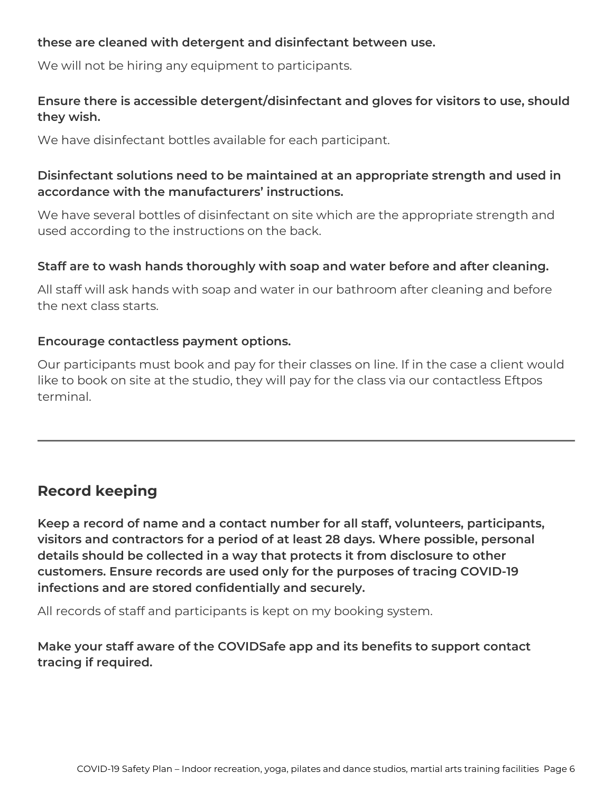#### **these are cleaned with detergent and disinfectant between use.**

We will not be hiring any equipment to participants.

# **Ensure there is accessible detergent/disinfectant and gloves for visitors to use, should they wish.**

We have disinfectant bottles available for each participant.

#### **Disinfectant solutions need to be maintained at an appropriate strength and used in accordance with the manufacturers' instructions.**

We have several bottles of disinfectant on site which are the appropriate strength and used according to the instructions on the back.

#### **Staff are to wash hands thoroughly with soap and water before and after cleaning.**

All staff will ask hands with soap and water in our bathroom after cleaning and before the next class starts.

#### **Encourage contactless payment options.**

Our participants must book and pay for their classes on line. If in the case a client would like to book on site at the studio, they will pay for the class via our contactless Eftpos terminal.

# **Record keeping**

**Keep a record of name and a contact number for all staff, volunteers, participants, visitors and contractors for a period of at least 28 days. Where possible, personal details should be collected in a way that protects it from disclosure to other customers. Ensure records are used only for the purposes of tracing COVID-19 infections and are stored confidentially and securely.** 

All records of staff and participants is kept on my booking system.

**Make your staff aware of the COVIDSafe app and its benefits to support contact tracing if required.**